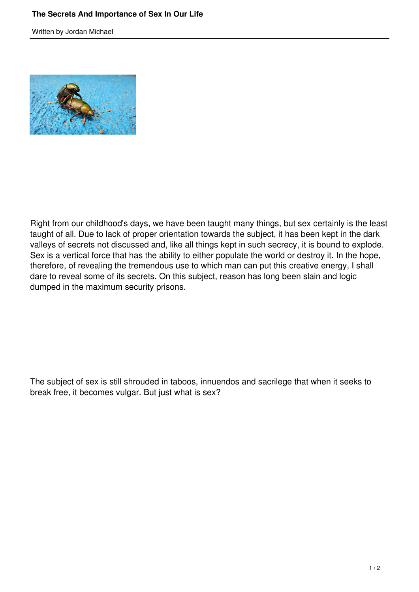Written by Jordan Michael



Right from our childhood's days, we have been taught many things, but sex certainly is the least taught of all. Due to lack of proper orientation towards the subject, it has been kept in the dark valleys of secrets not discussed and, like all things kept in such secrecy, it is bound to explode. Sex is a vertical force that has the ability to either populate the world or destroy it. In the hope, therefore, of revealing the tremendous use to which man can put this creative energy, I shall dare to reveal some of its secrets. On this subject, reason has long been slain and logic dumped in the maximum security prisons.

The subject of sex is still shrouded in taboos, innuendos and sacrilege that when it seeks to break free, it becomes vulgar. But just what is sex?